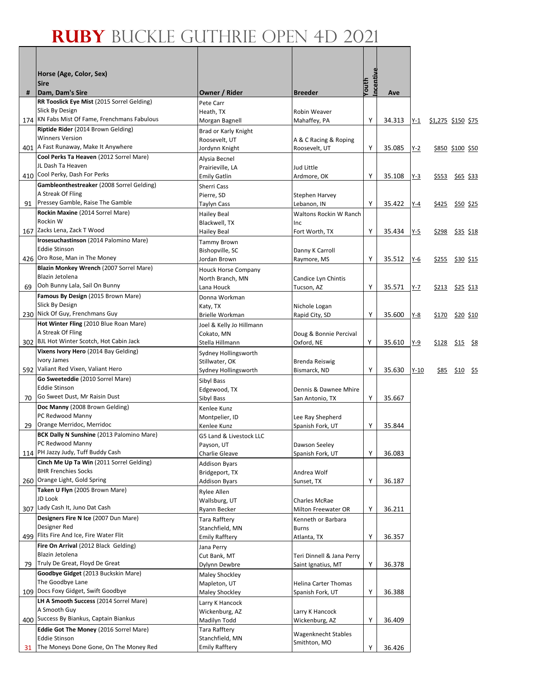|    | Horse (Age, Color, Sex)<br><b>Sire</b>                                      |                                          |                                       | ncentive |        |         |       |                           |
|----|-----------------------------------------------------------------------------|------------------------------------------|---------------------------------------|----------|--------|---------|-------|---------------------------|
| #  | Dam, Dam's Sire                                                             | Owner / Rider                            | <b>Breeder</b>                        | Youth    | Ave    |         |       |                           |
|    | RR Tooslick Eye Mist (2015 Sorrel Gelding)                                  | Pete Carr                                |                                       |          |        |         |       |                           |
|    | Slick By Design<br>174 KN Fabs Mist Of Fame, Frenchmans Fabulous            | Heath, TX                                | Robin Weaver                          |          |        |         |       |                           |
|    | Riptide Rider (2014 Brown Gelding)                                          | Morgan Bagnell                           | Mahaffey, PA                          | Y        | 34.313 | $Y-1$   |       | <u>\$1,275 \$150 \$75</u> |
|    | <b>Winners Version</b>                                                      | Brad or Karly Knight<br>Roosevelt, UT    | A & C Racing & Roping                 |          |        |         |       |                           |
|    | 401   A Fast Runaway, Make It Anywhere                                      | Jordynn Knight                           | Roosevelt, UT                         | Υ        | 35.085 | $Y-2$   |       | <u>\$850 \$100 \$50</u>   |
|    | Cool Perks Ta Heaven (2012 Sorrel Mare)                                     | Alysia Becnel                            |                                       |          |        |         |       |                           |
|    | JL Dash Ta Heaven                                                           | Prairieville, LA                         | Jud Little                            |          |        |         |       |                           |
|    | 410 Cool Perky, Dash For Perks<br>Gambleonthestreaker (2008 Sorrel Gelding) | <b>Emily Gatlin</b>                      | Ardmore, OK                           | Υ        | 35.108 | $Y-3$   | \$553 | \$65 \$33                 |
|    | A Streak Of Fling                                                           | Sherri Cass<br>Pierre, SD                | Stephen Harvey                        |          |        |         |       |                           |
| 91 | Pressey Gamble, Raise The Gamble                                            | Taylyn Cass                              | Lebanon, IN                           | Υ        | 35.422 | $Y-4$   | \$425 | $$50$ \$25                |
|    | Rockin Maxine (2014 Sorrel Mare)                                            | <b>Hailey Beal</b>                       | Waltons Rockin W Ranch                |          |        |         |       |                           |
|    | Rockin W                                                                    | Blackwell, TX                            | Inc                                   |          |        |         |       |                           |
|    | 167 Zacks Lena, Zack T Wood                                                 | <b>Hailey Beal</b>                       | Fort Worth, TX                        | Υ        | 35.434 | $Y-5$   | \$298 | $$35$ \$18                |
|    | Irosesuchastinson (2014 Palomino Mare)<br><b>Eddie Stinson</b>              | <b>Tammy Brown</b><br>Bishopville, SC    |                                       |          |        |         |       |                           |
|    | 426 Oro Rose, Man in The Money                                              | Jordan Brown                             | Danny K Carroll<br>Raymore, MS        | Υ        | 35.512 | $Y-6$   | \$255 | \$30 \$15                 |
|    | Blazin Monkey Wrench (2007 Sorrel Mare)                                     | <b>Houck Horse Company</b>               |                                       |          |        |         |       |                           |
|    | Blazin Jetolena                                                             | North Branch, MN                         | Candice Lyn Chintis                   |          |        |         |       |                           |
| 69 | Ooh Bunny Lala, Sail On Bunny                                               | Lana Houck                               | Tucson, AZ                            | Υ        | 35.571 | $Y - 7$ |       | <u>\$213 \$25 \$13</u>    |
|    | Famous By Design (2015 Brown Mare)<br>Slick By Design                       | Donna Workman                            |                                       |          |        |         |       |                           |
|    | 230 Nick Of Guy, Frenchmans Guy                                             | Katy, TX<br>Brielle Workman              | Nichole Logan<br>Rapid City, SD       | Y        | 35.600 | $Y-8$   | \$170 | \$20 \$10                 |
|    | Hot Winter Fling (2010 Blue Roan Mare)                                      | Joel & Kelly Jo Hillmann                 |                                       |          |        |         |       |                           |
|    | A Streak Of Fling                                                           | Cokato, MN                               | Doug & Bonnie Percival                |          |        |         |       |                           |
|    | 302 BJL Hot Winter Scotch, Hot Cabin Jack                                   | Stella Hillmann                          | Oxford, NE                            | Υ        | 35.610 | $Y-9$   | \$128 | $$15$ \$8                 |
|    | Vixens Ivory Hero (2014 Bay Gelding)<br>Ivory James                         | Sydney Hollingsworth                     |                                       |          |        |         |       |                           |
|    | 592 Valiant Red Vixen, Valiant Hero                                         | Stillwater, OK<br>Sydney Hollingsworth   | <b>Brenda Reiswig</b><br>Bismarck, ND | Υ        | 35.630 | $Y-10$  | \$85  | $$10$ \$5                 |
|    | Go Sweeteddie (2010 Sorrel Mare)                                            | Sibyl Bass                               |                                       |          |        |         |       |                           |
|    | <b>Eddie Stinson</b>                                                        | Edgewood, TX                             | Dennis & Dawnee Mhire                 |          |        |         |       |                           |
| 70 | Go Sweet Dust, Mr Raisin Dust                                               | Sibyl Bass                               | San Antonio, TX                       | Y        | 35.667 |         |       |                           |
|    | Doc Manny (2008 Brown Gelding)                                              | Kenlee Kunz                              |                                       |          |        |         |       |                           |
| 29 | PC Redwood Manny<br>Orange Merridoc, Merridoc                               | Montpelier, ID<br>Kenlee Kunz            | Lee Ray Shepherd<br>Spanish Fork, UT  | Υ        | 35.844 |         |       |                           |
|    | BCK Dally N Sunshine (2013 Palomino Mare)                                   | G5 Land & Livestock LLC                  |                                       |          |        |         |       |                           |
|    | PC Redwood Manny                                                            | Payson, UT                               | Dawson Seeley                         |          |        |         |       |                           |
|    | 114 PH Jazzy Judy, Tuff Buddy Cash                                          | Charlie Gleave                           | Spanish Fork, UT                      | Υ        | 36.083 |         |       |                           |
|    | Cinch Me Up Ta Win (2011 Sorrel Gelding)                                    | Addison Byars                            |                                       |          |        |         |       |                           |
|    | <b>BHR Frenchies Socks</b><br>260 Orange Light, Gold Spring                 | Bridgeport, TX<br><b>Addison Byars</b>   | Andrea Wolf<br>Sunset, TX             | Υ        | 36.187 |         |       |                           |
|    | Taken U Flyn (2005 Brown Mare)                                              | Rylee Allen                              |                                       |          |        |         |       |                           |
|    | JD Look                                                                     | Wallsburg, UT                            | Charles McRae                         |          |        |         |       |                           |
|    | 307 Lady Cash It, Juno Dat Cash                                             | Ryann Becker                             | Milton Freewater OR                   | Υ        | 36.211 |         |       |                           |
|    | Designers Fire N Ice (2007 Dun Mare)                                        | Tara Rafftery                            | Kenneth or Barbara                    |          |        |         |       |                           |
|    | Designer Red<br>499 Flits Fire And Ice, Fire Water Flit                     | Stanchfield, MN<br><b>Emily Rafftery</b> | <b>Burns</b><br>Atlanta, TX           | Υ        | 36.357 |         |       |                           |
|    | Fire On Arrival (2012 Black Gelding)                                        | Jana Perry                               |                                       |          |        |         |       |                           |
|    | Blazin Jetolena                                                             | Cut Bank, MT                             | Teri Dinnell & Jana Perry             |          |        |         |       |                           |
| 79 | Truly De Great, Floyd De Great                                              | Dylynn Dewbre                            | Saint Ignatius, MT                    | Υ        | 36.378 |         |       |                           |
|    | Goodbye Gidget (2013 Buckskin Mare)                                         | Maley Shockley                           |                                       |          |        |         |       |                           |
|    | The Goodbye Lane<br>109 Docs Foxy Gidget, Swift Goodbye                     | Mapleton, UT                             | Helina Carter Thomas                  |          |        |         |       |                           |
|    | LH A Smooth Success (2014 Sorrel Mare)                                      | Maley Shockley<br>Larry K Hancock        | Spanish Fork, UT                      | Υ        | 36.388 |         |       |                           |
|    | A Smooth Guy                                                                | Wickenburg, AZ                           | Larry K Hancock                       |          |        |         |       |                           |
|    | 400 Success By Biankus, Captain Biankus                                     | Madilyn Todd                             | Wickenburg, AZ                        | Y        | 36.409 |         |       |                           |
|    | <b>Eddie Got The Money (2016 Sorrel Mare)</b>                               | Tara Rafftery                            | Wagenknecht Stables                   |          |        |         |       |                           |
|    | <b>Eddie Stinson</b><br>The Moneys Done Gone, On The Money Red              | Stanchfield, MN<br><b>Emily Rafftery</b> | Smithton, MO                          |          |        |         |       |                           |
| 31 |                                                                             |                                          |                                       | Υ        | 36.426 |         |       |                           |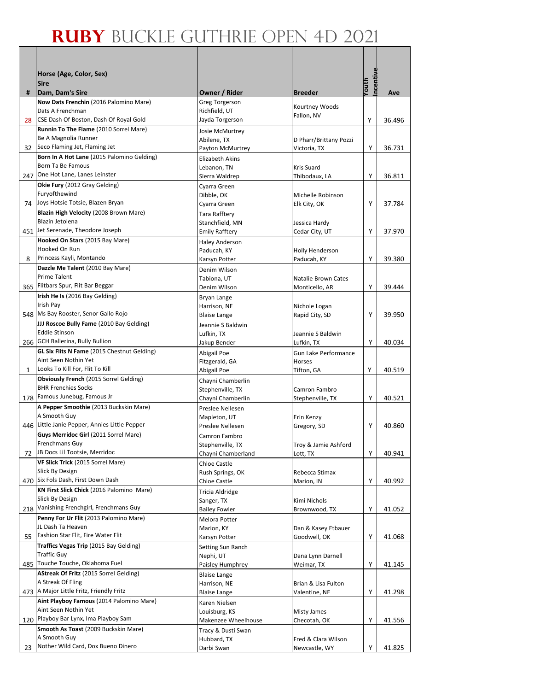|     | Horse (Age, Color, Sex)                                             |                                        |                                     |                   |        |
|-----|---------------------------------------------------------------------|----------------------------------------|-------------------------------------|-------------------|--------|
| #   | <b>Sire</b><br>Dam, Dam's Sire                                      | Owner / Rider                          | <b>Breeder</b>                      | ncentive<br>Youth | Ave    |
|     | Now Dats Frenchin (2016 Palomino Mare)                              | <b>Greg Torgerson</b>                  |                                     |                   |        |
|     | Dats A Frenchman                                                    | Richfield, UT                          | Kourtney Woods                      |                   |        |
| 28  | CSE Dash Of Boston, Dash Of Royal Gold                              | Jayda Torgerson                        | Fallon, NV                          | Y                 | 36.496 |
|     | Runnin To The Flame (2010 Sorrel Mare)                              | Josie McMurtrey                        |                                     |                   |        |
|     | Be A Magnolia Runner                                                | Abilene, TX                            | D Pharr/Brittany Pozzi              |                   |        |
| 32  | Seco Flaming Jet, Flaming Jet                                       | Payton McMurtrey                       | Victoria, TX                        | Υ                 | 36.731 |
|     | Born In A Hot Lane (2015 Palomino Gelding)<br>Born Ta Be Famous     | <b>Elizabeth Akins</b>                 |                                     |                   |        |
|     | 247 One Hot Lane, Lanes Leinster                                    | Lebanon, TN<br>Sierra Waldrep          | Kris Suard<br>Thibodaux, LA         | Y                 | 36.811 |
|     | Okie Fury (2012 Gray Gelding)                                       | Cyarra Green                           |                                     |                   |        |
|     | Furyofthewind                                                       | Dibble, OK                             | Michelle Robinson                   |                   |        |
| 74  | Joys Hotsie Totsie, Blazen Bryan                                    | Cyarra Green                           | Elk City, OK                        | Υ                 | 37.784 |
|     | Blazin High Velocity (2008 Brown Mare)                              | Tara Rafftery                          |                                     |                   |        |
|     | Blazin Jetolena                                                     | Stanchfield, MN                        | Jessica Hardy                       |                   |        |
|     | 451 Jet Serenade, Theodore Joseph                                   | <b>Emily Rafftery</b>                  | Cedar City, UT                      | Y                 | 37.970 |
|     | Hooked On Stars (2015 Bay Mare)                                     | <b>Haley Anderson</b>                  |                                     |                   |        |
| 8   | Hooked On Run<br>Princess Kayli, Montando                           | Paducah, KY                            | Holly Henderson                     | Υ                 |        |
|     | Dazzle Me Talent (2010 Bay Mare)                                    | Karsyn Potter                          | Paducah, KY                         |                   | 39.380 |
|     | Prime Talent                                                        | Denim Wilson<br>Tabiona, UT            | Natalie Brown Cates                 |                   |        |
|     | 365 Flitbars Spur, Flit Bar Beggar                                  | Denim Wilson                           | Monticello, AR                      | Υ                 | 39.444 |
|     | Irish He Is (2016 Bay Gelding)                                      | Bryan Lange                            |                                     |                   |        |
|     | Irish Pay                                                           | Harrison, NE                           | Nichole Logan                       |                   |        |
|     | 548 Ms Bay Rooster, Senor Gallo Rojo                                | <b>Blaise Lange</b>                    | Rapid City, SD                      | Y                 | 39.950 |
|     | JJJ Roscoe Bully Fame (2010 Bay Gelding)                            | Jeannie S Baldwin                      |                                     |                   |        |
|     | <b>Eddie Stinson</b>                                                | Lufkin, TX                             | Jeannie S Baldwin                   |                   |        |
|     | 266 GCH Ballerina, Bully Bullion                                    | Jakup Bender                           | Lufkin, TX                          | Y                 | 40.034 |
|     | GL Six Flits N Fame (2015 Chestnut Gelding)<br>Aint Seen Nothin Yet | Abigail Poe                            | <b>Gun Lake Performance</b>         |                   |        |
| 1   | Looks To Kill For, Flit To Kill                                     | Fitzgerald, GA<br>Abigail Poe          | Horses<br>Tifton, GA                | Y                 | 40.519 |
|     | <b>Obviously French (2015 Sorrel Gelding)</b>                       | Chayni Chamberlin                      |                                     |                   |        |
|     | <b>BHR Frenchies Socks</b>                                          | Stephenville, TX                       | Camron Fambro                       |                   |        |
|     | 178 Famous Junebug, Famous Jr                                       | Chayni Chamberlin                      | Stephenville, TX                    | Y                 | 40.521 |
|     | A Pepper Smoothie (2013 Buckskin Mare)                              | Preslee Nellesen                       |                                     |                   |        |
|     | A Smooth Guy                                                        | Mapleton, UT                           | Erin Kenzy                          |                   |        |
| 446 | Little Janie Pepper, Annies Little Pepper                           | Preslee Nellesen                       | Gregory, SD                         | Υ                 | 40.860 |
|     | Guys Merridoc Girl (2011 Sorrel Mare)<br><b>Frenchmans Guy</b>      | Camron Fambro                          |                                     |                   |        |
| 72  | JB Docs Lil Tootsie, Merridoc                                       | Stephenville, TX<br>Chayni Chamberland | Troy & Jamie Ashford<br>Lott, TX    | Υ                 | 40.941 |
|     | VF Slick Trick (2015 Sorrel Mare)                                   | Chloe Castle                           |                                     |                   |        |
|     | Slick By Design                                                     | Rush Springs, OK                       | Rebecca Stimax                      |                   |        |
|     | 470 Six Fols Dash, First Down Dash                                  | Chloe Castle                           | Marion, IN                          | Υ                 | 40.992 |
|     | KN First Slick Chick (2016 Palomino Mare)                           | Tricia Aldridge                        |                                     |                   |        |
|     | Slick By Design                                                     | Sanger, TX                             | Kimi Nichols                        |                   |        |
| 218 | Vanishing Frenchgirl, Frenchmans Guy                                | <b>Bailey Fowler</b>                   | Brownwood, TX                       | Υ                 | 41.052 |
|     | Penny For Ur Flit (2013 Palomino Mare)<br>JL Dash Ta Heaven         | Melora Potter                          |                                     |                   |        |
| 55  | Fashion Star Flit, Fire Water Flit                                  | Marion, KY                             | Dan & Kasey Etbauer<br>Goodwell, OK | Υ                 | 41.068 |
|     | Traffics Vegas Trip (2015 Bay Gelding)                              | Karsyn Potter<br>Setting Sun Ranch     |                                     |                   |        |
|     | <b>Traffic Guy</b>                                                  | Nephi, UT                              | Dana Lynn Darnell                   |                   |        |
|     | 485 Touche Touche, Oklahoma Fuel                                    | Paisley Humphrey                       | Weimar, TX                          | Υ                 | 41.145 |
|     | AStreak Of Fritz (2015 Sorrel Gelding)                              | <b>Blaise Lange</b>                    |                                     |                   |        |
|     | A Streak Of Fling                                                   | Harrison, NE                           | Brian & Lisa Fulton                 |                   |        |
|     | 473 A Major Little Fritz, Friendly Fritz                            | <b>Blaise Lange</b>                    | Valentine, NE                       | Υ                 | 41.298 |
|     | Aint Playboy Famous (2014 Palomino Mare)                            | Karen Nielsen                          |                                     |                   |        |
|     | Aint Seen Nothin Yet<br>120 Playboy Bar Lynx, Ima Playboy Sam       | Louisburg, KS                          | Misty James                         | Υ                 |        |
|     | Smooth As Toast (2009 Buckskin Mare)                                | Makenzee Wheelhouse                    | Checotah, OK                        |                   | 41.556 |
|     | A Smooth Guy                                                        | Tracy & Dusti Swan<br>Hubbard, TX      | Fred & Clara Wilson                 |                   |        |
| 23  | Nother Wild Card, Dox Bueno Dinero                                  | Darbi Swan                             | Newcastle, WY                       | Υ                 | 41.825 |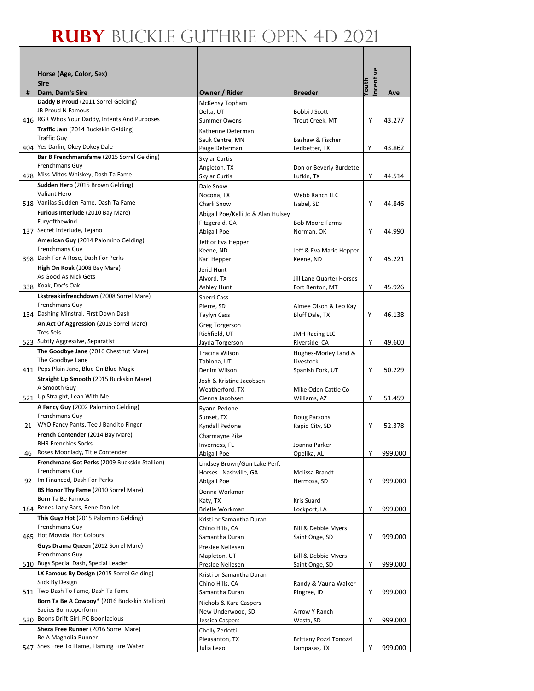|    | Horse (Age, Color, Sex)                                                             |                                             |                                         |                   |         |
|----|-------------------------------------------------------------------------------------|---------------------------------------------|-----------------------------------------|-------------------|---------|
|    | <b>Sire</b>                                                                         |                                             |                                         | ncentive<br>Youth |         |
| #  | Dam, Dam's Sire                                                                     | Owner / Rider                               | <b>Breeder</b>                          |                   | Ave     |
|    | Daddy B Proud (2011 Sorrel Gelding)<br><b>JB Proud N Famous</b>                     | McKensy Topham                              |                                         |                   |         |
|    | 416 RGR Whos Your Daddy, Intents And Purposes                                       | Delta, UT<br><b>Summer Owens</b>            | Bobbi J Scott<br>Trout Creek, MT        | Y                 | 43.277  |
|    | Traffic Jam (2014 Buckskin Gelding)                                                 | Katherine Determan                          |                                         |                   |         |
|    | <b>Traffic Guv</b>                                                                  | Sauk Centre, MN                             | Bashaw & Fischer                        |                   |         |
|    | 404 Yes Darlin, Okey Dokey Dale                                                     | Paige Determan                              | Ledbetter, TX                           | Υ                 | 43.862  |
|    | Bar B Frenchmansfame (2015 Sorrel Gelding)                                          | Skylar Curtis                               |                                         |                   |         |
|    | Frenchmans Guv<br>478 Miss Mitos Whiskey, Dash Ta Fame                              | Angleton, TX<br>Skylar Curtis               | Don or Beverly Burdette<br>Lufkin, TX   | Y                 | 44.514  |
|    | Sudden Hero (2015 Brown Gelding)                                                    | Dale Snow                                   |                                         |                   |         |
|    | Valiant Hero                                                                        | Nocona, TX                                  | Webb Ranch LLC                          |                   |         |
|    | 518 Vanilas Sudden Fame, Dash Ta Fame                                               | Charli Snow                                 | Isabel, SD                              | Υ                 | 44.846  |
|    | Furious Interlude (2010 Bay Mare)                                                   | Abigail Poe/Kelli Jo & Alan Hulsey          |                                         |                   |         |
|    | Furyofthewind<br>137 Secret Interlude, Tejano                                       | Fitzgerald, GA                              | <b>Bob Moore Farms</b>                  |                   |         |
|    | American Guy (2014 Palomino Gelding)                                                | Abigail Poe                                 | Norman, OK                              | Υ                 | 44.990  |
|    | Frenchmans Guy                                                                      | Jeff or Eva Hepper<br>Keene, ND             | Jeff & Eva Marie Hepper                 |                   |         |
|    | 398 Dash For A Rose, Dash For Perks                                                 | Kari Hepper                                 | Keene, ND                               | Υ                 | 45.221  |
|    | High On Koak (2008 Bay Mare)                                                        | Jerid Hunt                                  |                                         |                   |         |
|    | As Good As Nick Gets                                                                | Alvord, TX                                  | Jill Lane Quarter Horses                |                   |         |
|    | 338 Koak, Doc's Oak<br>Lkstreakinfrenchdown (2008 Sorrel Mare)                      | Ashley Hunt                                 | Fort Benton, MT                         | Y                 | 45.926  |
|    | Frenchmans Guy                                                                      | Sherri Cass                                 |                                         |                   |         |
|    | 134 Dashing Minstral, First Down Dash                                               | Pierre, SD<br><b>Taylyn Cass</b>            | Aimee Olson & Leo Kay<br>Bluff Dale, TX | Y                 | 46.138  |
|    | An Act Of Aggression (2015 Sorrel Mare)                                             | <b>Greg Torgerson</b>                       |                                         |                   |         |
|    | <b>Tres Seis</b>                                                                    | Richfield, UT                               | <b>JMH Racing LLC</b>                   |                   |         |
|    | 523 Subtly Aggressive, Separatist                                                   | Jayda Torgerson                             | Riverside, CA                           | Y                 | 49.600  |
|    | The Goodbye Jane (2016 Chestnut Mare)<br>The Goodbye Lane                           | <b>Tracina Wilson</b>                       | Hughes-Morley Land &                    |                   |         |
|    | 411 Peps Plain Jane, Blue On Blue Magic                                             | Tabiona, UT<br>Denim Wilson                 | Livestock<br>Spanish Fork, UT           | Y                 | 50.229  |
|    | Straight Up Smooth (2015 Buckskin Mare)                                             | Josh & Kristine Jacobsen                    |                                         |                   |         |
|    | A Smooth Guy                                                                        | Weatherford, TX                             | Mike Oden Cattle Co                     |                   |         |
|    | 521 Up Straight, Lean With Me                                                       | Cienna Jacobsen                             | Williams, AZ                            | Υ                 | 51.459  |
|    | A Fancy Guy (2002 Palomino Gelding)<br>Frenchmans Guy                               | Ryann Pedone                                |                                         |                   |         |
| 21 | WYO Fancy Pants, Tee J Bandito Finger                                               | Sunset, TX<br>Kyndall Pedone                | Doug Parsons<br>Rapid City, SD          | Y                 | 52.378  |
|    | French Contender (2014 Bay Mare)                                                    | Charmayne Pike                              |                                         |                   |         |
|    | <b>BHR Frenchies Socks</b>                                                          | Inverness, FL                               | Joanna Parker                           |                   |         |
| 46 | Roses Moonlady, Title Contender                                                     | Abigail Poe                                 | Opelika, AL                             | Υ                 | 999.000 |
|    | Frenchmans Got Perks (2009 Buckskin Stallion)                                       | Lindsey Brown/Gun Lake Perf.                |                                         |                   |         |
|    | Frenchmans Guy<br>Im Financed, Dash For Perks                                       | Horses Nashville, GA                        | Melissa Brandt                          | Υ                 |         |
| 92 | BS Honor Thy Fame (2010 Sorrel Mare)                                                | Abigail Poe<br>Donna Workman                | Hermosa, SD                             |                   | 999.000 |
|    | Born Ta Be Famous                                                                   | Katy, TX                                    | Kris Suard                              |                   |         |
|    | 184 Renes Lady Bars, Rene Dan Jet                                                   | <b>Brielle Workman</b>                      | Lockport, LA                            | Υ                 | 999.000 |
|    | This Guyz Hot (2015 Palomino Gelding)                                               | Kristi or Samantha Duran                    |                                         |                   |         |
|    | Frenchmans Guy<br>465 Hot Movida, Hot Colours                                       | Chino Hills, CA                             | <b>Bill &amp; Debbie Myers</b>          |                   |         |
|    | Guys Drama Queen (2012 Sorrel Mare)                                                 | Samantha Duran<br>Preslee Nellesen          | Saint Onge, SD                          | Υ                 | 999.000 |
|    | Frenchmans Guy                                                                      | Mapleton, UT                                | Bill & Debbie Myers                     |                   |         |
|    | 510 Bugs Special Dash, Special Leader                                               | Preslee Nellesen                            | Saint Onge, SD                          | Υ                 | 999.000 |
|    | LX Famous By Design (2015 Sorrel Gelding)                                           | Kristi or Samantha Duran                    |                                         |                   |         |
|    | Slick By Design                                                                     | Chino Hills, CA                             | Randy & Vauna Walker                    |                   |         |
|    | 511 Two Dash To Fame, Dash Ta Fame<br>Born Ta Be A Cowboy* (2016 Buckskin Stallion) | Samantha Duran                              | Pingree, ID                             | Υ                 | 999.000 |
|    | Sadies Borntoperform                                                                | Nichols & Kara Caspers<br>New Underwood, SD | Arrow Y Ranch                           |                   |         |
|    | 530 Boons Drift Girl, PC Boonlacious                                                | Jessica Caspers                             | Wasta, SD                               | Υ                 | 999.000 |
|    | Sheza Free Runner (2016 Sorrel Mare)                                                | Chelly Zerlotti                             |                                         |                   |         |
|    | Be A Magnolia Runner                                                                | Pleasanton, TX                              | Brittany Pozzi Tonozzi                  |                   |         |
|    | 547 Shes Free To Flame, Flaming Fire Water                                          | Julia Leao                                  | Lampasas, TX                            | Υ                 | 999.000 |